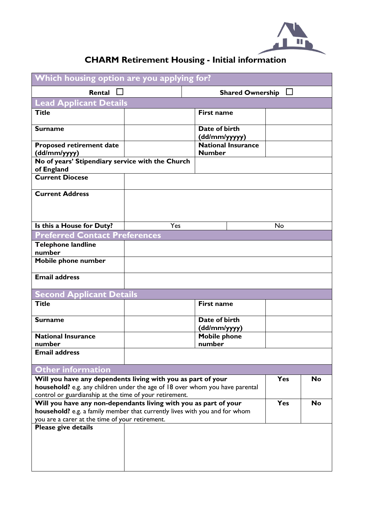

## **CHARM Retirement Housing - Initial information**

| Which housing option are you applying for?                                                                                  |     |                                            |            |           |
|-----------------------------------------------------------------------------------------------------------------------------|-----|--------------------------------------------|------------|-----------|
| Rental                                                                                                                      |     | <b>Shared Ownership</b>                    |            |           |
| <b>Lead Applicant Details</b>                                                                                               |     |                                            |            |           |
| <b>Title</b>                                                                                                                |     | <b>First name</b>                          |            |           |
| <b>Surname</b>                                                                                                              |     | Date of birth                              |            |           |
|                                                                                                                             |     | (dd/mm/yyyyy)                              |            |           |
| <b>Proposed retirement date</b><br>(dd/mm/yyyy)                                                                             |     | <b>National Insurance</b><br><b>Number</b> |            |           |
| No of years' Stipendiary service with the Church                                                                            |     |                                            |            |           |
| of England                                                                                                                  |     |                                            |            |           |
| <b>Current Diocese</b>                                                                                                      |     |                                            |            |           |
| <b>Current Address</b>                                                                                                      |     |                                            |            |           |
|                                                                                                                             |     |                                            |            |           |
|                                                                                                                             |     |                                            |            |           |
| Is this a House for Duty?                                                                                                   | Yes |                                            | No         |           |
| <b>Preferred Contact Preferences</b>                                                                                        |     |                                            |            |           |
| Telephone landline                                                                                                          |     |                                            |            |           |
| number                                                                                                                      |     |                                            |            |           |
| Mobile phone number                                                                                                         |     |                                            |            |           |
| <b>Email address</b>                                                                                                        |     |                                            |            |           |
| <b>Second Applicant Details</b>                                                                                             |     |                                            |            |           |
| <b>Title</b>                                                                                                                |     | <b>First name</b>                          |            |           |
|                                                                                                                             |     |                                            |            |           |
| <b>Surname</b>                                                                                                              |     | Date of birth                              |            |           |
|                                                                                                                             |     | (dd/mm/yyyy)                               |            |           |
| <b>National Insurance</b><br>number                                                                                         |     | <b>Mobile phone</b><br>number              |            |           |
| <b>Email address</b>                                                                                                        |     |                                            |            |           |
|                                                                                                                             |     |                                            |            |           |
| <b>Other information</b>                                                                                                    |     |                                            |            |           |
| Will you have any dependents living with you as part of your                                                                |     |                                            | <b>Yes</b> | No        |
| household? e.g. any children under the age of 18 over whom you have parental                                                |     |                                            |            |           |
| control or guardianship at the time of your retirement.<br>Will you have any non-dependants living with you as part of your |     |                                            | <b>Yes</b> | <b>No</b> |
| household? e.g. a family member that currently lives with you and for whom                                                  |     |                                            |            |           |
| you are a carer at the time of your retirement.                                                                             |     |                                            |            |           |
| Please give details                                                                                                         |     |                                            |            |           |
|                                                                                                                             |     |                                            |            |           |
|                                                                                                                             |     |                                            |            |           |
|                                                                                                                             |     |                                            |            |           |
|                                                                                                                             |     |                                            |            |           |